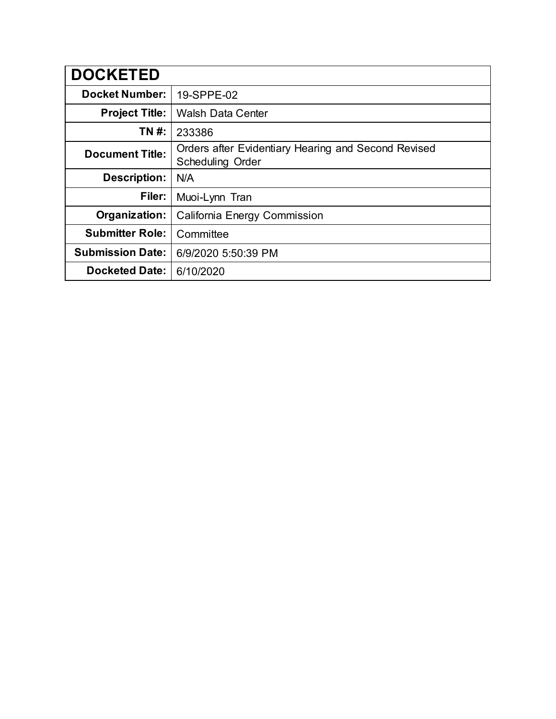| <b>DOCKETED</b>         |                                                                                |
|-------------------------|--------------------------------------------------------------------------------|
| <b>Docket Number:</b>   | 19-SPPE-02                                                                     |
| <b>Project Title:</b>   | <b>Walsh Data Center</b>                                                       |
| TN #:                   | 233386                                                                         |
| <b>Document Title:</b>  | Orders after Evidentiary Hearing and Second Revised<br><b>Scheduling Order</b> |
| <b>Description:</b>     | N/A                                                                            |
| Filer:                  | Muoi-Lynn Tran                                                                 |
| Organization:           | California Energy Commission                                                   |
| <b>Submitter Role:</b>  | Committee                                                                      |
| <b>Submission Date:</b> | 6/9/2020 5:50:39 PM                                                            |
| <b>Docketed Date:</b>   | 6/10/2020                                                                      |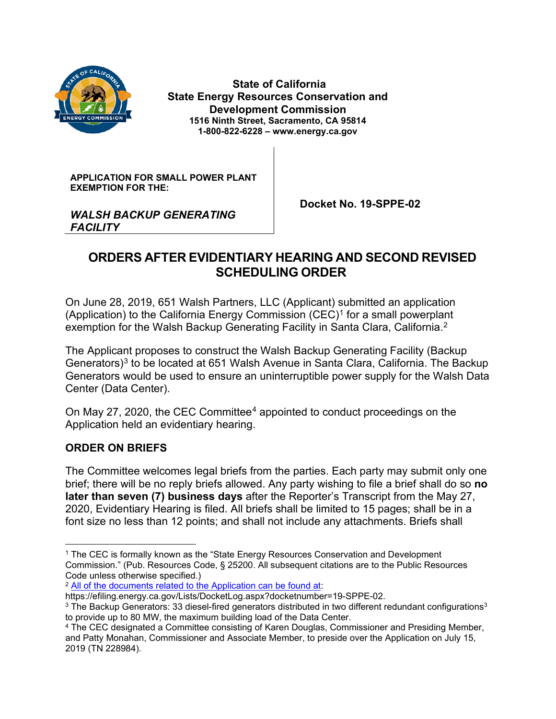

**State of California State Energy Resources Conservation and Development Commission 1516 Ninth Street, Sacramento, CA 95814 1-800-822-6228 – www.energy.ca.gov**

**APPLICATION FOR SMALL POWER PLANT EXEMPTION FOR THE:**

 **Docket No. 19-SPPE-02**

### *WALSH BACKUP GENERATING FACILITY*

# **ORDERS AFTER EVIDENTIARY HEARING AND SECOND REVISED SCHEDULING ORDER**

On June 28, 2019, 651 Walsh Partners, LLC (Applicant) submitted an application (Application) to the California Energy Commission  $(CEC)^1$  $(CEC)^1$  for a small powerplant exemption for the Walsh Backup Generating Facility in Santa Clara, California. $^{\text{2}}$  $^{\text{2}}$  $^{\text{2}}$ 

The Applicant proposes to construct the Walsh Backup Generating Facility (Backup Generators)<sup>[3](#page-1-2)</sup> to be located at 651 Walsh Avenue in Santa Clara, California. The Backup Generators would be used to ensure an uninterruptible power supply for the Walsh Data Center (Data Center).

On May 27, 2020, the CEC Committee<sup>[4](#page-1-3)</sup> appointed to conduct proceedings on the Application held an evidentiary hearing.

## **ORDER ON BRIEFS**

The Committee welcomes legal briefs from the parties. Each party may submit only one brief; there will be no reply briefs allowed. Any party wishing to file a brief shall do so **no later than seven (7) business days** after the Reporter's Transcript from the May 27, 2020, Evidentiary Hearing is filed. All briefs shall be limited to 15 pages; shall be in a font size no less than 12 points; and shall not include any attachments. Briefs shall

<span id="page-1-0"></span><sup>&</sup>lt;sup>1</sup> The CEC is formally known as the "State Energy Resources Conservation and Development Commission." (Pub. Resources Code, § 25200. All subsequent citations are to the Public Resources Code unless otherwise specified.)

<span id="page-1-1"></span><sup>2</sup> [All of the documents related to the Application can be found at:](https://efiling.energy.ca.gov/Lists/DocketLog.aspx?docketnumber=19-SPPE-02)

https://efiling.energy.ca.gov/Lists/DocketLog.aspx?docketnumber=19-SPPE-02.

<span id="page-1-2"></span><sup>&</sup>lt;sup>3</sup> The Backup Generators: 33 diesel-fired generators distributed in two different redundant configurations<sup>3</sup> to provide up to 80 MW, the maximum building load of the Data Center.

<span id="page-1-3"></span><sup>4</sup> The CEC designated a Committee consisting of Karen Douglas, Commissioner and Presiding Member, and Patty Monahan, Commissioner and Associate Member, to preside over the Application on July 15, 2019 (TN 228984).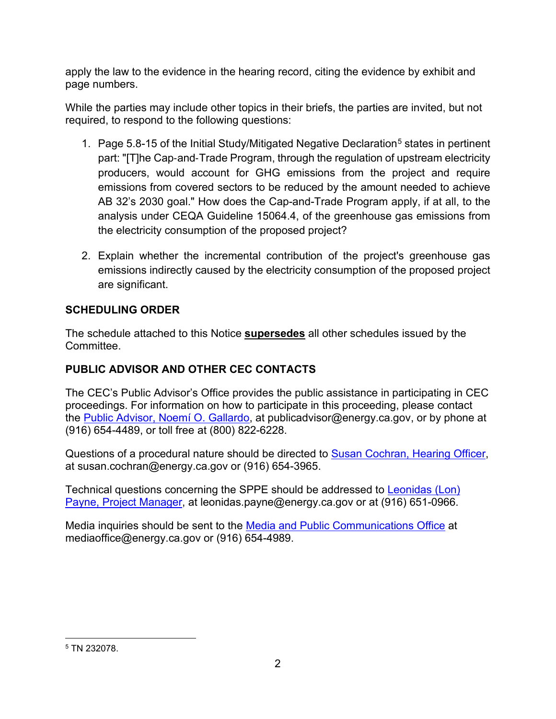apply the law to the evidence in the hearing record, citing the evidence by exhibit and page numbers.

While the parties may include other topics in their briefs, the parties are invited, but not required, to respond to the following questions:

- 1. Page [5](#page-2-0).8-15 of the Initial Study/Mitigated Negative Declaration<sup>5</sup> states in pertinent part: "[T]he Cap-and-Trade Program, through the regulation of upstream electricity producers, would account for GHG emissions from the project and require emissions from covered sectors to be reduced by the amount needed to achieve AB 32's 2030 goal." How does the Cap-and-Trade Program apply, if at all, to the analysis under CEQA Guideline 15064.4, of the greenhouse gas emissions from the electricity consumption of the proposed project?
- 2. Explain whether the incremental contribution of the project's greenhouse gas emissions indirectly caused by the electricity consumption of the proposed project are significant.

## **SCHEDULING ORDER**

The schedule attached to this Notice **supersedes** all other schedules issued by the **Committee.** 

## **PUBLIC ADVISOR AND OTHER CEC CONTACTS**

The CEC's Public Advisor's Office provides the public assistance in participating in CEC proceedings. For information on how to participate in this proceeding, please contact the [Public Advisor, Noemí O. Gallardo,](mailto:publicadvisor@energy.ca.gov) at publicadvisor@energy.ca.gov, or by phone at (916) 654-4489, or toll free at (800) 822-6228.

Questions of a procedural nature should be directed to [Susan Cochran, Hearing Officer,](mailto:susan.cochran@energy.ca.gov) at susan.cochran@energy.ca.gov or (916) 654-3965.

Technical questions concerning the SPPE should be addressed to [Leonidas \(Lon\)](mailto:leonidas.payne@energy.ca.gov)  [Payne, Project Manager,](mailto:leonidas.payne@energy.ca.gov) at leonidas.payne@energy.ca.gov or at (916) 651-0966.

Media inquiries should be sent to the [Media and Public Communications Office](mailto:mediaoffice@energy.ca.gov) at mediaoffice@energy.ca.gov or (916) 654-4989.

<span id="page-2-0"></span><sup>5</sup> TN 232078.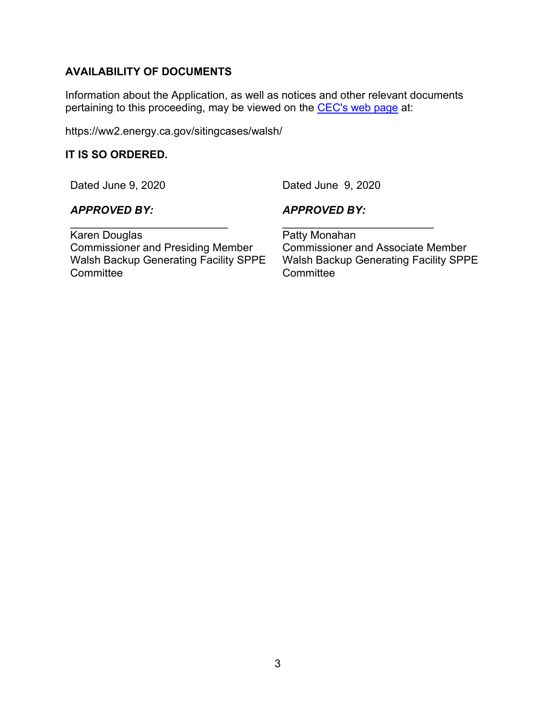## **AVAILABILITY OF DOCUMENTS**

Information about the Application, as well as notices and other relevant documents pertaining to this proceeding, may be viewed on the [CEC's web page](https://ww2.energy.ca.gov/sitingcases/walsh/) at:

https://ww2.energy.ca.gov/sitingcases/walsh/

#### **IT IS SO ORDERED.**

Dated June 9, 2020

Dated June 9, 2020

### *APPROVED BY:*

*APPROVED BY:*

\_\_\_\_\_\_\_\_\_\_\_\_\_\_\_\_\_\_\_\_\_\_\_\_\_\_ Karen Douglas Commissioner and Presiding Member Walsh Backup Generating Facility SPPE **Committee** 

Patty Monahan Commissioner and Associate Member Walsh Backup Generating Facility SPPE **Committee** 

\_\_\_\_\_\_\_\_\_\_\_\_\_\_\_\_\_\_\_\_\_\_\_\_\_